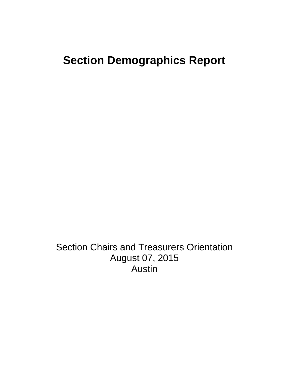## **Section Demographics Report**

Section Chairs and Treasurers Orientation August 07, 2015 Austin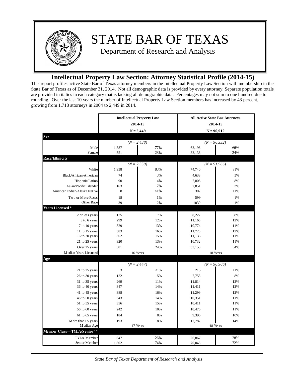

## **Intellectual Property Law Section: Attorney Statistical Profile (2014-15)**

This report profiles active State Bar of Texas attorney members in the Intellectual Property Law Section with membership in the State Bar of Texas as of December 31, 2014. Not all demographic data is provided by every attorney. Separate population totals are provided in italics in each category that is lacking all demographic data. Percentages may not sum to one hundred due to rounding. Over the last 10 years the number of Intellectual Property Law Section members has increased by 43 percent, growing from 1,718 attorneys in 2004 to 2,449 in 2014.

|                                        | <b>Intellectual Property Law</b><br>2014-15<br>$N = 2,449$ |                                 | <b>All Active State Bar Attorneys</b><br>2014-15<br>$N = 96,912$ |                |  |
|----------------------------------------|------------------------------------------------------------|---------------------------------|------------------------------------------------------------------|----------------|--|
|                                        |                                                            |                                 |                                                                  |                |  |
| <b>Sex</b>                             |                                                            |                                 |                                                                  |                |  |
|                                        |                                                            | $(N = 2,438)$                   |                                                                  | $(N = 96,332)$ |  |
| Male<br>Female                         | 1,887<br>551                                               | 77%<br>23%                      | 63,196<br>33,136                                                 | 66%<br>34%     |  |
| <b>Race/Ethnicity</b>                  |                                                            |                                 |                                                                  |                |  |
|                                        |                                                            | $(N = 2,350)$                   |                                                                  | $(N = 91,966)$ |  |
| White                                  | 1,958                                                      | 83%                             | 74,740                                                           | 81%            |  |
| Black/African-American                 | 74                                                         | 3%                              | 4,638                                                            | 5%             |  |
| Hispanic/Latino                        | 90                                                         | 4%                              | 7,806                                                            | 8%             |  |
| Asian/Pacific Islander                 | 163                                                        | 7%                              | 2,851                                                            | 3%             |  |
| American Indian/Alaska Native          | 8                                                          | $<$ 1%                          | 302                                                              | $< 1\%$        |  |
| Two or More Races                      | 18                                                         | 1%                              | 599                                                              | 1%             |  |
| Other Race                             | 39                                                         | 2%                              | 1030                                                             | 1%             |  |
| Years Licensed*                        |                                                            |                                 |                                                                  |                |  |
| 2 or less years                        | 175                                                        | 7%                              | 8,227                                                            | 8%             |  |
| 3 to 6 years                           | 299                                                        | 12%                             | 11,165                                                           | 12%            |  |
| 7 to 10 years                          | 329                                                        | 13%                             | 10,774                                                           | 11%            |  |
| 11 to 15 years                         | 383                                                        | 16%                             | 11,720                                                           | 12%            |  |
| 16 to 20 years                         | 362                                                        | 15%                             | 11,136                                                           | 11%            |  |
| 21 to 25 years                         | 320                                                        | 13%                             | 10,732                                                           | 11%            |  |
| Over 25 years                          | 581                                                        | 24%                             | 33,158                                                           | 34%            |  |
| Median Years Licensed                  | 16 Years<br>18 Years                                       |                                 |                                                                  |                |  |
| Age                                    |                                                            |                                 |                                                                  |                |  |
|                                        |                                                            | $(N = 2,447)$<br>$(N = 96,906)$ |                                                                  |                |  |
| 21 to 25 years                         | 3                                                          | < 1%                            | 213                                                              | $<$ 1%         |  |
| 26 to 30 years                         | 122                                                        | 5%                              | 7,753                                                            | 8%             |  |
| 31 to 35 years                         | 269                                                        | 11%                             | 11,814                                                           | 12%            |  |
| 36 to 40 years                         | 347                                                        | 14%                             | 11,411                                                           | 12%            |  |
| 41 to 45 years                         | 388                                                        | 16%                             | 11,299                                                           | 12%            |  |
| 46 to 50 years                         | 343                                                        | 14%                             | 10,351                                                           | 11%            |  |
| 51 to 55 years                         | 356                                                        | 15%                             | 10,411                                                           | 11%            |  |
| 56 to 60 years                         | 242                                                        | 10%                             | 10,476                                                           | 11%            |  |
| 61 to 65 years                         | 184                                                        | 8%                              | 9,396                                                            | 10%            |  |
| More than 65 years                     | 193                                                        | 8%                              | 13,782                                                           | 14%            |  |
| Median Age                             | 47 Years                                                   |                                 | 48 Years                                                         |                |  |
| <b>Member Class-</b><br>-TYLA/Senior** |                                                            |                                 |                                                                  |                |  |
| TYLA Member                            | 647                                                        | 26%                             | 26,867                                                           | 28%            |  |
| Senior Member                          | 1,802                                                      | 74%                             | 70,045                                                           | 72%            |  |

*State Bar of Texas Department of Research and Analysis*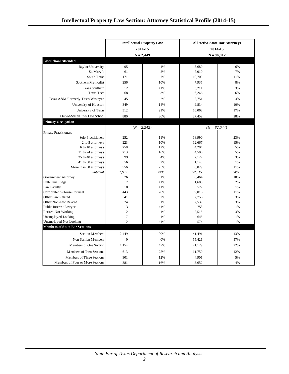|                                                 | <b>Intellectual Property Law</b><br>2014-15<br>$N = 2,449$ |               | <b>All Active State Bar Attorneys</b><br>2014-15<br>$N = 96,912$ |                |
|-------------------------------------------------|------------------------------------------------------------|---------------|------------------------------------------------------------------|----------------|
| <b>Law School Attended</b>                      |                                                            |               |                                                                  |                |
| <b>Baylor University</b>                        | 95                                                         | 4%            | 5,689                                                            | 6%             |
| St. Mary's                                      | 61                                                         | 2%            | 7,010                                                            | 7%             |
| South Texas                                     | 171                                                        | 7%            | 10,709                                                           | 11%            |
| Southern Methodist                              | 256                                                        | 10%           | 7,935                                                            | 8%             |
| <b>Texas Southern</b>                           | 12                                                         | ${<}1\%$      | 3,211                                                            | 3%             |
| <b>Texas Tech</b>                               | 68                                                         | 3%            | 6,246                                                            | 6%             |
| Texas A&M/Formerly Texas Wesleyan               | 45                                                         | 2%            | 2,751                                                            | 3%             |
| University of Houston                           | 349                                                        | 14%           | 9,834                                                            | 10%            |
| University of Texas                             | 512                                                        | 21%           | 16,068                                                           | 17%            |
| Out-of-State/Other Law School                   | 880                                                        | 36%           | 27,459                                                           | 28%            |
| <b>Primary Occupation</b>                       |                                                            |               |                                                                  |                |
|                                                 |                                                            | $(N = 2,242)$ |                                                                  | $(N = 82,044)$ |
| <b>Private Practitioners</b>                    |                                                            |               |                                                                  |                |
| Solo Practitioners                              | 252                                                        | 11%           | 18,990                                                           | 23%            |
| 2 to 5 attorneys                                | 223                                                        | 10%           | 12,667                                                           | 15%            |
| 6 to 10 attorneys                               | 258                                                        | 12%           | 4,204                                                            | 5%             |
| 11 to 24 attorneys                              | 213                                                        | 10%           | 4,500                                                            | 5%             |
| 25 to 40 attorneys                              | 99                                                         | 4%            | 2,127                                                            | 3%             |
| 41 to 60 attorneys                              | 56                                                         | 2%            | 1,148                                                            | 1%             |
| More than 60 attorneys                          | 556                                                        | 25%           | 8,879                                                            | 11%            |
| Subtotal                                        | 1,657                                                      | 74%           | 52,515                                                           | 64%            |
| Government Attorney                             | 26                                                         | 1%            | 8,464                                                            | 10%            |
| Full-Time Judge                                 | $\tau$                                                     | $< 1\%$       | 1,685                                                            | 2%             |
| Law Faculty                                     | 10                                                         | $< 1\%$       | 577                                                              | 1%             |
| Corporate/In-House Counsel<br>Other Law Related | 443<br>41                                                  | 20%<br>2%     | 9,016<br>2,756                                                   | 11%<br>3%      |
| Other Non-Law Related                           | 24                                                         | 1%            | 2,539                                                            | 3%             |
| Public Interest Lawyer                          | 3                                                          | $< 1\%$       | 758                                                              | 1%             |
| <b>Retired-Not Working</b>                      | 12                                                         | 1%            | 2,515                                                            | 3%             |
| Unemployed-Looking                              | 17                                                         | 1%            | 645                                                              | 1%             |
| Unemployed-Not Looking                          | $\overline{c}$                                             | $< 1\%$       | 574                                                              | 1%             |
| <b>Members of State Bar Sections</b>            |                                                            |               |                                                                  |                |
| Section Members                                 | 2,449                                                      | 100%          | 41,491                                                           | 43%            |
| Non Section Members                             | $\mathbf{0}$                                               | 0%            | 55,421                                                           | 57%            |
| Members of One Section                          | 1,154                                                      | 47%           | 21,179                                                           | 22%            |
| Members of Two Sections                         | 613                                                        | 25%           | 11,759                                                           | 12%            |
| Members of Three Sections                       | 301                                                        | 12%           | 4,901                                                            | 5%             |
| Members of Four or More Sections                | 381                                                        | 16%           | 3,652                                                            | 4%             |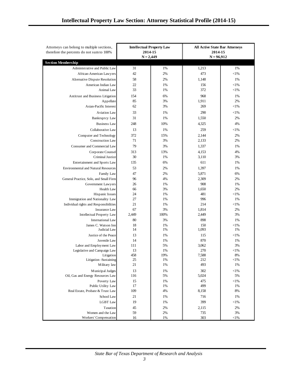| Attorneys can belong to multiple sections,<br>therefore the percents do not sum to 100% | <b>Intellectual Property Law</b><br>2014-15 |           | <b>All Active State Bar Attorneys</b><br>2014-15 |                  |
|-----------------------------------------------------------------------------------------|---------------------------------------------|-----------|--------------------------------------------------|------------------|
|                                                                                         | $N = 2,449$                                 |           | $N = 96,912$                                     |                  |
| <b>Section Membership</b>                                                               |                                             |           |                                                  |                  |
| Administrative and Public Law                                                           | 31                                          | 1%        | 1,213                                            | 1%               |
| African-American Lawyers                                                                | 42                                          | 2%        | 473                                              | ${<}1\%$         |
| Alternative Dispute Resolution                                                          | 58                                          | 2%        | 1,148                                            | 1%               |
| American Indian Law                                                                     | 22                                          | 1%        | 156                                              | ${<}1\%$         |
| Animal Law                                                                              | 33                                          | 1%        | 372                                              | ${<}1\%$         |
| Antitrust and Business Litigation                                                       | 154                                         | 6%        | 968                                              | 1%               |
| Appellate                                                                               | 85                                          | 3%        | 1,911                                            | 2%               |
| Asian-Pacific Interest                                                                  | 62                                          | 3%        | 269                                              | ${<}1\%$         |
| <b>Aviation Law</b>                                                                     | 33                                          | 1%        | 290                                              | ${<}1\%$         |
| <b>Bankruptcy Law</b>                                                                   | 31                                          | 1%        | 1,550                                            | 2%               |
| <b>Business Law</b>                                                                     | 248                                         | 10%       | 4,325                                            | 4%               |
| Collaborative Law                                                                       | 13                                          | 1%        | 259                                              | ${<}1\%$         |
| Computer and Technology                                                                 | 372                                         | 15%       | 2,144                                            | 2%               |
| Construction Law                                                                        | 71                                          | 3%        | 2,133                                            | 2%               |
| Consumer and Commercial Law                                                             | 79                                          | 3%        | 1,337                                            | 1%               |
| Corporate Counsel                                                                       | 313                                         | 13%       | 4,153                                            | 4%               |
| <b>Criminal Justice</b>                                                                 | 30                                          | 1%        | 3,110                                            | 3%               |
| Entertainment and Sports Law                                                            | 135                                         | 6%        | 611                                              | 1%               |
| <b>Environmental and Natural Resources</b>                                              | 53                                          | 2%        | 1,397                                            | 1%               |
| Family Law                                                                              | 47                                          | 2%        | 5,871                                            | 6%               |
| General Practice, Solo, and Small Firm                                                  | 96                                          | 4%        | 2,309                                            | 2%               |
| Government Lawyers                                                                      | 26                                          | 1%        | 908                                              | 1%               |
| Health Law                                                                              | 66                                          | 3%        | 1,650                                            | 2%               |
| Hispanic Issues                                                                         | 24                                          | 1%        | 481                                              | ${<}1\%$         |
| Immigration and Nationality Law                                                         | 27                                          | 1%        | 996                                              | 1%               |
| Individual rights and Responsibilities                                                  | 21                                          | 1%        | 214                                              | ${<}1\%$         |
| <b>Insurance Law</b>                                                                    | 67                                          | 3%        | 1,814                                            | 2%               |
| Intellectual Property Law                                                               | 2,449                                       | 100%      | 2,449                                            | 3%               |
| <b>International Law</b>                                                                | 80                                          | 3%        | 898                                              | 1%               |
| James C. Watson Inn                                                                     | 18                                          | 1%        | 150                                              | ${<}1\%$         |
| Judicial Law                                                                            | 14                                          | 1%        | 1,093                                            | 1%               |
| Justice of the Peace                                                                    | 13                                          | 1%        | 115                                              | ${<}1\%$         |
| Juvenile Law                                                                            | 14                                          | 1%        | 870                                              | 1%               |
| Labor and Employment Law                                                                | 111                                         | 5%        | 3,062                                            | 3%               |
| Legislative and Campaign Law                                                            | 13                                          | 1%        | 270                                              | ${<}1\%$         |
| Litigation                                                                              | 458<br>25                                   | 19%<br>1% | 7,588<br>212                                     | 8%               |
| Litigation -Sustaining<br>Military law                                                  | 21                                          | 1%        | 493                                              | ${<}1\%$<br>1%   |
|                                                                                         |                                             |           |                                                  |                  |
| Municipal Judges<br>Oil, Gas and Energy Resources Law                                   | 13<br>116                                   | 1%<br>5%  | 302<br>5,024                                     | $<\!\!1\%$<br>5% |
|                                                                                         |                                             |           |                                                  |                  |
| Poverty Law<br>Public Utility Law                                                       | 15<br>17                                    | 1%<br>1%  | 475<br>499                                       | $<\!\!1\%$<br>1% |
| Real Estate, Probate & Trust Law                                                        | 109                                         | 4%        | 8,158                                            | 8%               |
| School Law                                                                              | 21                                          | 1%        | 716                                              | 1%               |
| <b>LGBT</b> Law                                                                         | 19                                          | 1%        | 399                                              | ${<}1\%$         |
| Taxation                                                                                | 45                                          | 2%        | 2,115                                            | 2%               |
| Women and the Law                                                                       | 59                                          | 2%        | 735                                              | 3%               |
| Workers' Compensation                                                                   | 16                                          | 1%        | 303                                              | ${<}1\%$         |